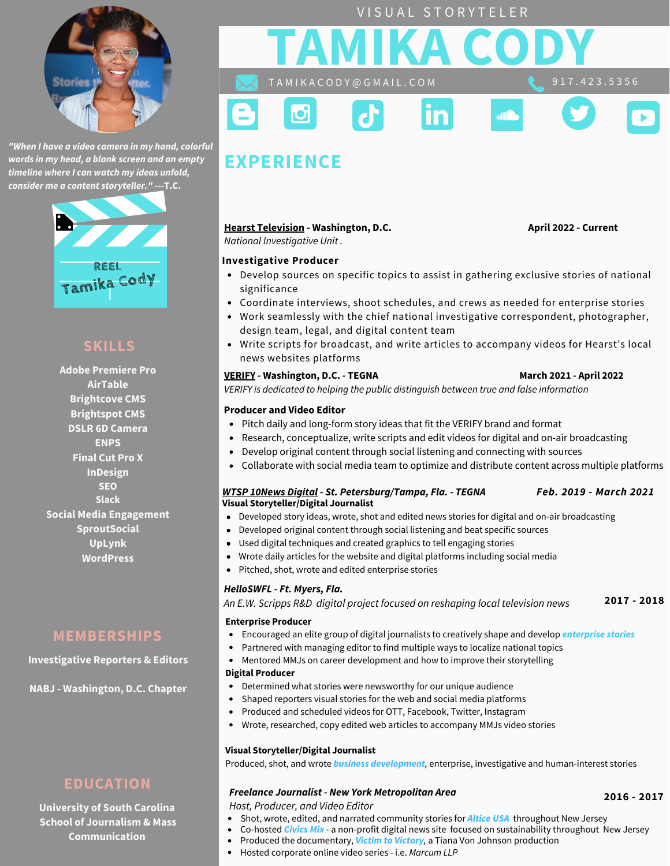

*"When I have a video camera in my hand, colorful words in my head, a blank screen and an empty timeline where I can watch my ideas unfold, consider me a content storyteller."* **---T.C.**



# **SKILLS**

**Adobe Premiere Pro AirTable Brightcove CMS Brightspot CMS DSLR 6D Camera ENPS Final Cut Pro X InDesign SEO Slack Social Media Engagement SproutSocial UpLynk WordPress**

# **MEMBERSHIPS**

**Investigative Reporters & Editors**

**NABJ - Washington, D.C. Chapter**

# **EDUCATION**

**University of South Carolina School of Journalism & Mass Communication**



IЭ

# **EXPERIENCE**

### **Hearst [Television](https://www.hearst.com/broadcasting) - Washington, D.C. April 2022 - Current**

*National Investigative Unit .*

9 1 7 . 4 2 3 . 5 3 5 6

#### **Investigative Producer**

Develop sources on specific topics to assist in gathering exclusive stories of national significance

VISUAL STORYTELER

**September** 

- Coordinate interviews, shoot schedules, and crews as needed for enterprise stories
- Work seamlessly with the chief national investigative correspondent, photographer, design team, legal, and digital content team
- Write scripts for broadcast, and write articles to accompany videos for Hearst's local news websites platforms

### **[VERIFY](https://bit.ly/3ciVto1) - Washington, D.C. - TEGNA March 2021 - April 2022**

*VERIFY is dedicated to helping the public distinguish between true and false information*

#### **Producer and Video Editor**

- Pitch daily and long-form story ideas that fit the VERIFY brand and format
- Research, conceptualize, write scripts and edit videos for digital and on-air broadcasting
- Develop original content through social listening and connecting with sources  $\bullet$
- $\bullet$ Collaborate with social media team to optimize and distribute content across multiple platforms

#### *WTSP [10News](https://www.facebook.com/watch/201850160365269/2171299292945651/) Digital - St. Petersburg/Tampa, Fla. - TEGNA Feb. 2019 - March 2021* **Visual [Storyteller/Digital](https://www.youtube.com/playlist?list=PLmCg_Igque0pK-kNKwQkzexlKA5eu0Kls) Journalist**

- Developed story ideas, wrote, shot and edited news stories for digital and on-air broadcasting
- Developed original content through social listening and beat specific sources
- Used digital techniques and created graphics to tell engaging stories
- Wrote daily articles for the website and digital platforms including social media
- Pitched, shot, wrote and edited enterprise stories

### *HelloSWFL - Ft. Myers, Fla.*

*An E.W. Scripps R&D digital project focused on reshaping local television news* **2017 - 2018**

#### **Enterprise Producer**

- Encouraged an elite group of digital journalists to creatively shape and develop *enterprise stories*
	- Partnered with managing editor to find multiple ways to localize national topics
- $\bullet$ Mentored MMJs on career [development](https://www.youtube.com/watch?v=8TEILyXl6sk&list=PLmCg_Igque0rIlJu1kdS8vHWYK15_45iK&index=33&t=4s) and how to improve their storytelling

#### **Digital Producer**

 $\bullet$ 

 $\bullet$ 

- Determined what stories were newsworthy for our unique audience
- Shaped reporters visual stories for the web and social media platforms
	- Produced and scheduled videos for OTT, Facebook, Twitter, Instagram
- $\bullet$ Wrote, researched, copy edited web articles to accompany MMJs video stories

#### **Visual [Storyteller/Digital](https://youtu.be/EAePm-JuNlE) Journalist**

Produced, shot, and wrote *business development,* enterprise, investigative and human-interest stories

### *Freelance Journalist - New York Metropolitan Area*

*Host, Producer, and Video Editor*

- Shot, wrote, edited, and narrated [community](http://alticeconnects.com/community-coverage/new-jersey/2017/newark-african-american-parade) stories for *Altice USA* throughout New Jersey
- Co-hosted *Civics Mix* a non-profit digital news site focused on [sustainability](https://www.youtube.com/watch?v=sR2-GBVdUqQ) throughout New Jersey
- Produced the [documentary,](https://www.youtube.com/watch?v=sWrOxP9aa8Y) *Victim to Victory,* a Tiana Von Johnson production
- Hosted corporate online video series i.e. *Marcum LLP*

**2016 - 2017**